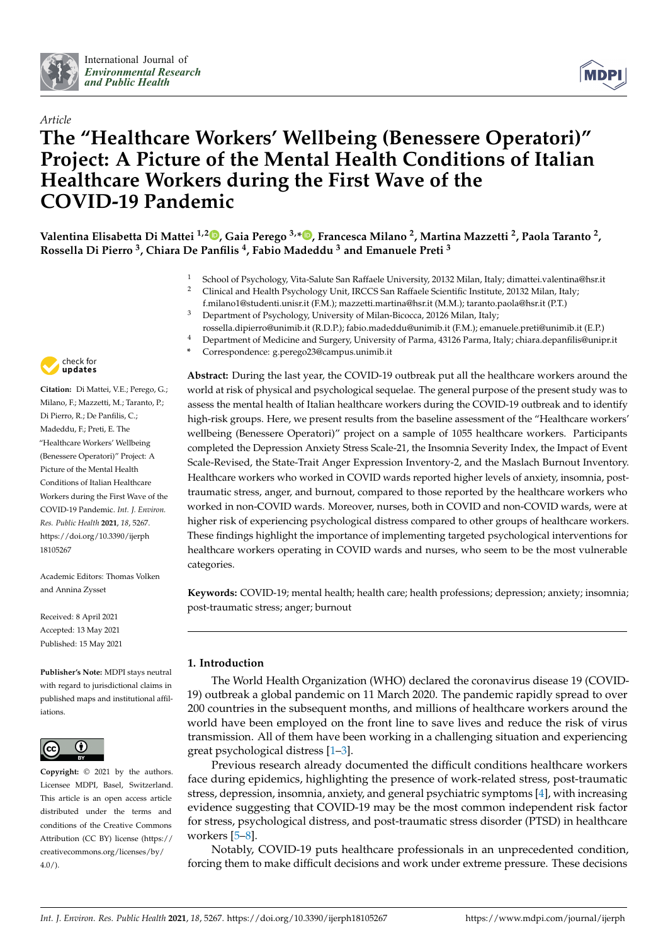



# *Article* **The "Healthcare Workers' Wellbeing (Benessere Operatori)" Project: A Picture of the Mental Health Conditions of Italian Healthcare Workers during the First Wave of the COVID-19 Pandemic**

**Valentina Elisabetta Di Mattei 1,2 [,](https://orcid.org/0000-0003-0546-3218) Gaia Perego 3,[\\*](https://orcid.org/0000-0001-9968-813X) , Francesca Milano <sup>2</sup> , Martina Mazzetti <sup>2</sup> , Paola Taranto <sup>2</sup> , Rossella Di Pierro <sup>3</sup> , Chiara De Panfilis <sup>4</sup> , Fabio Madeddu <sup>3</sup> and Emanuele Preti <sup>3</sup>**

- 1 School of Psychology, Vita-Salute San Raffaele University, 20132 Milan, Italy; dimattei.valentina@hsr.it<br>2 Clinical and Health Psychology Unit IRCCS San Raffaele Scientific Institute 20132 Milan Italy:
- <sup>2</sup> Clinical and Health Psychology Unit, IRCCS San Raffaele Scientific Institute, 20132 Milan, Italy; f.milano1@studenti.unisr.it (F.M.); mazzetti.martina@hsr.it (M.M.); taranto.paola@hsr.it (P.T.)
- <sup>3</sup> Department of Psychology, University of Milan-Bicocca, 20126 Milan, Italy; rossella.dipierro@unimib.it (R.D.P.); fabio.madeddu@unimib.it (F.M.); emanuele.preti@unimib.it (E.P.)
- <sup>4</sup> Department of Medicine and Surgery, University of Parma, 43126 Parma, Italy; chiara.depanfilis@unipr.it
	- **\*** Correspondence: g.perego23@campus.unimib.it

**Abstract:** During the last year, the COVID-19 outbreak put all the healthcare workers around the world at risk of physical and psychological sequelae. The general purpose of the present study was to assess the mental health of Italian healthcare workers during the COVID-19 outbreak and to identify high-risk groups. Here, we present results from the baseline assessment of the "Healthcare workers' wellbeing (Benessere Operatori)" project on a sample of 1055 healthcare workers. Participants completed the Depression Anxiety Stress Scale-21, the Insomnia Severity Index, the Impact of Event Scale-Revised, the State-Trait Anger Expression Inventory-2, and the Maslach Burnout Inventory. Healthcare workers who worked in COVID wards reported higher levels of anxiety, insomnia, posttraumatic stress, anger, and burnout, compared to those reported by the healthcare workers who worked in non-COVID wards. Moreover, nurses, both in COVID and non-COVID wards, were at higher risk of experiencing psychological distress compared to other groups of healthcare workers. These findings highlight the importance of implementing targeted psychological interventions for healthcare workers operating in COVID wards and nurses, who seem to be the most vulnerable categories.

**Keywords:** COVID-19; mental health; health care; health professions; depression; anxiety; insomnia; post-traumatic stress; anger; burnout

# **1. Introduction**

The World Health Organization (WHO) declared the coronavirus disease 19 (COVID-19) outbreak a global pandemic on 11 March 2020. The pandemic rapidly spread to over 200 countries in the subsequent months, and millions of healthcare workers around the world have been employed on the front line to save lives and reduce the risk of virus transmission. All of them have been working in a challenging situation and experiencing great psychological distress [\[1](#page-9-0)[–3\]](#page-9-1).

Previous research already documented the difficult conditions healthcare workers face during epidemics, highlighting the presence of work-related stress, post-traumatic stress, depression, insomnia, anxiety, and general psychiatric symptoms [\[4\]](#page-9-2), with increasing evidence suggesting that COVID-19 may be the most common independent risk factor for stress, psychological distress, and post-traumatic stress disorder (PTSD) in healthcare workers [\[5–](#page-9-3)[8\]](#page-9-4).

Notably, COVID-19 puts healthcare professionals in an unprecedented condition, forcing them to make difficult decisions and work under extreme pressure. These decisions



**Citation:** Di Mattei, V.E.; Perego, G.; Milano, F.; Mazzetti, M.; Taranto, P.; Di Pierro, R.; De Panfilis, C.; Madeddu, F.; Preti, E. The "Healthcare Workers' Wellbeing (Benessere Operatori)" Project: A Picture of the Mental Health Conditions of Italian Healthcare Workers during the First Wave of the COVID-19 Pandemic. *Int. J. Environ. Res. Public Health* **2021**, *18*, 5267. [https://doi.org/10.3390/ijerph](https://doi.org/10.3390/ijerph18105267) [18105267](https://doi.org/10.3390/ijerph18105267)

Academic Editors: Thomas Volken and Annina Zysset

Received: 8 April 2021 Accepted: 13 May 2021 Published: 15 May 2021

**Publisher's Note:** MDPI stays neutral with regard to jurisdictional claims in published maps and institutional affiliations.



**Copyright:** © 2021 by the authors. Licensee MDPI, Basel, Switzerland. This article is an open access article distributed under the terms and conditions of the Creative Commons Attribution (CC BY) license (https:/[/](https://creativecommons.org/licenses/by/4.0/) [creativecommons.org/licenses/by/](https://creativecommons.org/licenses/by/4.0/)  $4.0/$ ).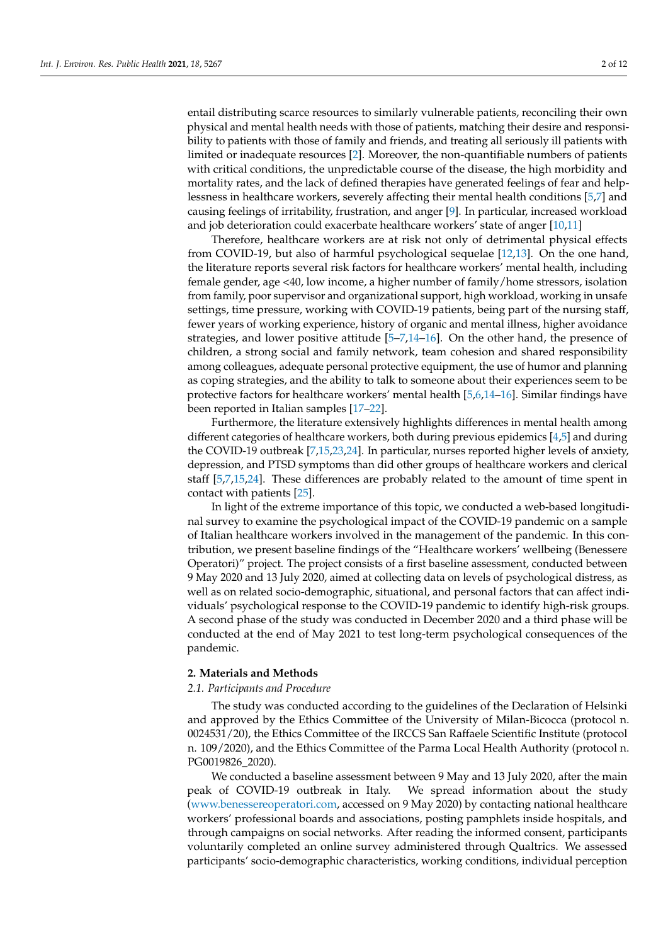entail distributing scarce resources to similarly vulnerable patients, reconciling their own physical and mental health needs with those of patients, matching their desire and responsibility to patients with those of family and friends, and treating all seriously ill patients with limited or inadequate resources [\[2\]](#page-9-5). Moreover, the non-quantifiable numbers of patients with critical conditions, the unpredictable course of the disease, the high morbidity and mortality rates, and the lack of defined therapies have generated feelings of fear and helplessness in healthcare workers, severely affecting their mental health conditions [\[5,](#page-9-3)[7\]](#page-9-6) and causing feelings of irritability, frustration, and anger [\[9\]](#page-9-7). In particular, increased workload and job deterioration could exacerbate healthcare workers' state of anger [\[10,](#page-10-0)[11\]](#page-10-1)

Therefore, healthcare workers are at risk not only of detrimental physical effects from COVID-19, but also of harmful psychological sequelae [\[12,](#page-10-2)[13\]](#page-10-3). On the one hand, the literature reports several risk factors for healthcare workers' mental health, including female gender, age <40, low income, a higher number of family/home stressors, isolation from family, poor supervisor and organizational support, high workload, working in unsafe settings, time pressure, working with COVID-19 patients, being part of the nursing staff, fewer years of working experience, history of organic and mental illness, higher avoidance strategies, and lower positive attitude  $[5-7,14-16]$  $[5-7,14-16]$  $[5-7,14-16]$ . On the other hand, the presence of children, a strong social and family network, team cohesion and shared responsibility among colleagues, adequate personal protective equipment, the use of humor and planning as coping strategies, and the ability to talk to someone about their experiences seem to be protective factors for healthcare workers' mental health [\[5](#page-9-3)[,6](#page-9-8)[,14](#page-10-4)[–16\]](#page-10-5). Similar findings have been reported in Italian samples [\[17–](#page-10-6)[22\]](#page-10-7).

Furthermore, the literature extensively highlights differences in mental health among different categories of healthcare workers, both during previous epidemics [\[4](#page-9-2)[,5\]](#page-9-3) and during the COVID-19 outbreak [\[7,](#page-9-6)[15](#page-10-8)[,23](#page-10-9)[,24\]](#page-10-10). In particular, nurses reported higher levels of anxiety, depression, and PTSD symptoms than did other groups of healthcare workers and clerical staff [\[5,](#page-9-3)[7](#page-9-6)[,15](#page-10-8)[,24\]](#page-10-10). These differences are probably related to the amount of time spent in contact with patients [\[25\]](#page-10-11).

In light of the extreme importance of this topic, we conducted a web-based longitudinal survey to examine the psychological impact of the COVID-19 pandemic on a sample of Italian healthcare workers involved in the management of the pandemic. In this contribution, we present baseline findings of the "Healthcare workers' wellbeing (Benessere Operatori)" project. The project consists of a first baseline assessment, conducted between 9 May 2020 and 13 July 2020, aimed at collecting data on levels of psychological distress, as well as on related socio-demographic, situational, and personal factors that can affect individuals' psychological response to the COVID-19 pandemic to identify high-risk groups. A second phase of the study was conducted in December 2020 and a third phase will be conducted at the end of May 2021 to test long-term psychological consequences of the pandemic.

### **2. Materials and Methods**

#### *2.1. Participants and Procedure*

The study was conducted according to the guidelines of the Declaration of Helsinki and approved by the Ethics Committee of the University of Milan-Bicocca (protocol n. 0024531/20), the Ethics Committee of the IRCCS San Raffaele Scientific Institute (protocol n. 109/2020), and the Ethics Committee of the Parma Local Health Authority (protocol n. PG0019826\_2020).

We conducted a baseline assessment between 9 May and 13 July 2020, after the main peak of COVID-19 outbreak in Italy. We spread information about the study [\(www.benessereoperatori.com,](www.benessereoperatori.com) accessed on 9 May 2020) by contacting national healthcare workers' professional boards and associations, posting pamphlets inside hospitals, and through campaigns on social networks. After reading the informed consent, participants voluntarily completed an online survey administered through Qualtrics. We assessed participants' socio-demographic characteristics, working conditions, individual perception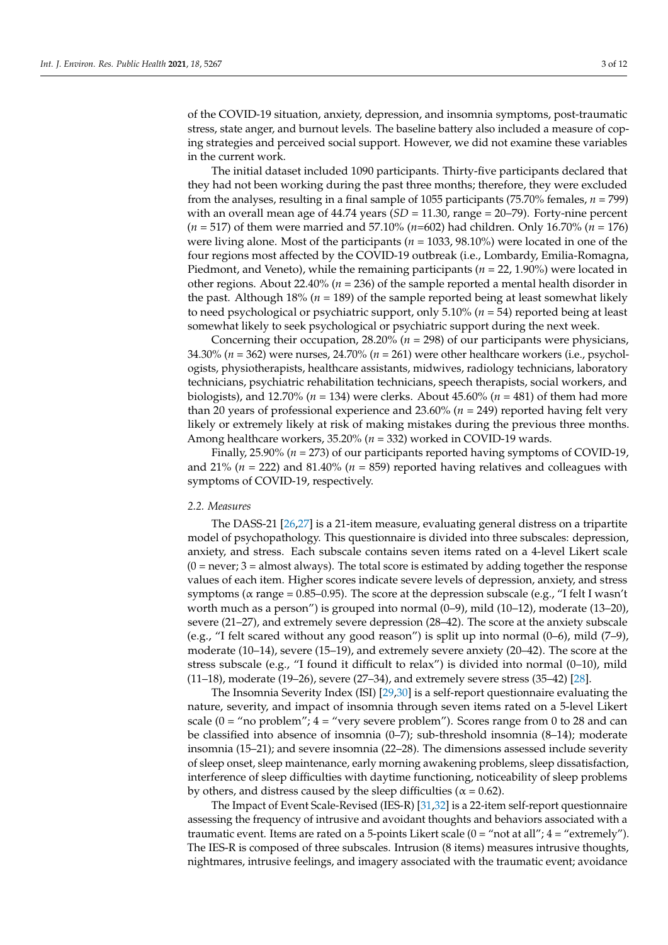of the COVID-19 situation, anxiety, depression, and insomnia symptoms, post-traumatic stress, state anger, and burnout levels. The baseline battery also included a measure of coping strategies and perceived social support. However, we did not examine these variables in the current work.

The initial dataset included 1090 participants. Thirty-five participants declared that they had not been working during the past three months; therefore, they were excluded from the analyses, resulting in a final sample of 1055 participants (75.70% females, *n* = 799) with an overall mean age of  $44.74$  years  $(SD = 11.30$ , range =  $20-79$ ). Forty-nine percent (*n* = 517) of them were married and 57.10% (*n*=602) had children. Only 16.70% (*n* = 176) were living alone. Most of the participants (*n* = 1033, 98.10%) were located in one of the four regions most affected by the COVID-19 outbreak (i.e., Lombardy, Emilia-Romagna, Piedmont, and Veneto), while the remaining participants (*n* = 22, 1.90%) were located in other regions. About 22.40% (*n* = 236) of the sample reported a mental health disorder in the past. Although 18% (*n* = 189) of the sample reported being at least somewhat likely to need psychological or psychiatric support, only 5.10% (*n* = 54) reported being at least somewhat likely to seek psychological or psychiatric support during the next week.

Concerning their occupation, 28.20% (*n* = 298) of our participants were physicians, 34.30% (*n* = 362) were nurses, 24.70% (*n* = 261) were other healthcare workers (i.e., psychologists, physiotherapists, healthcare assistants, midwives, radiology technicians, laboratory technicians, psychiatric rehabilitation technicians, speech therapists, social workers, and biologists), and 12.70% ( $n = 134$ ) were clerks. About 45.60% ( $n = 481$ ) of them had more than 20 years of professional experience and 23.60% ( $n = 249$ ) reported having felt very likely or extremely likely at risk of making mistakes during the previous three months. Among healthcare workers, 35.20% (*n* = 332) worked in COVID-19 wards.

Finally, 25.90% (*n* = 273) of our participants reported having symptoms of COVID-19, and 21% (*n* = 222) and 81.40% (*n* = 859) reported having relatives and colleagues with symptoms of COVID-19, respectively.

#### *2.2. Measures*

The DASS-21 [\[26,](#page-10-12)[27\]](#page-10-13) is a 21-item measure, evaluating general distress on a tripartite model of psychopathology. This questionnaire is divided into three subscales: depression, anxiety, and stress. Each subscale contains seven items rated on a 4-level Likert scale  $(0 = never; 3 = almost always)$ . The total score is estimated by adding together the response values of each item. Higher scores indicate severe levels of depression, anxiety, and stress symptoms ( $α$  range = 0.85–0.95). The score at the depression subscale (e.g., "I felt I wasn't worth much as a person") is grouped into normal (0–9), mild (10–12), moderate (13–20), severe (21–27), and extremely severe depression (28–42). The score at the anxiety subscale (e.g., "I felt scared without any good reason") is split up into normal (0–6), mild (7–9), moderate (10–14), severe (15–19), and extremely severe anxiety (20–42). The score at the stress subscale (e.g., "I found it difficult to relax") is divided into normal (0–10), mild (11–18), moderate (19–26), severe (27–34), and extremely severe stress (35–42) [\[28\]](#page-10-14).

The Insomnia Severity Index (ISI) [\[29,](#page-10-15)[30\]](#page-10-16) is a self-report questionnaire evaluating the nature, severity, and impact of insomnia through seven items rated on a 5-level Likert scale ( $0 =$  "no problem";  $4 =$  "very severe problem"). Scores range from 0 to 28 and can be classified into absence of insomnia (0–7); sub-threshold insomnia (8–14); moderate insomnia (15–21); and severe insomnia (22–28). The dimensions assessed include severity of sleep onset, sleep maintenance, early morning awakening problems, sleep dissatisfaction, interference of sleep difficulties with daytime functioning, noticeability of sleep problems by others, and distress caused by the sleep difficulties ( $\alpha$  = 0.62).

The Impact of Event Scale-Revised (IES-R) [\[31](#page-10-17)[,32\]](#page-10-18) is a 22-item self-report questionnaire assessing the frequency of intrusive and avoidant thoughts and behaviors associated with a traumatic event. Items are rated on a 5-points Likert scale  $(0 = "not at all"; 4 = "extremely").$ The IES-R is composed of three subscales. Intrusion (8 items) measures intrusive thoughts, nightmares, intrusive feelings, and imagery associated with the traumatic event; avoidance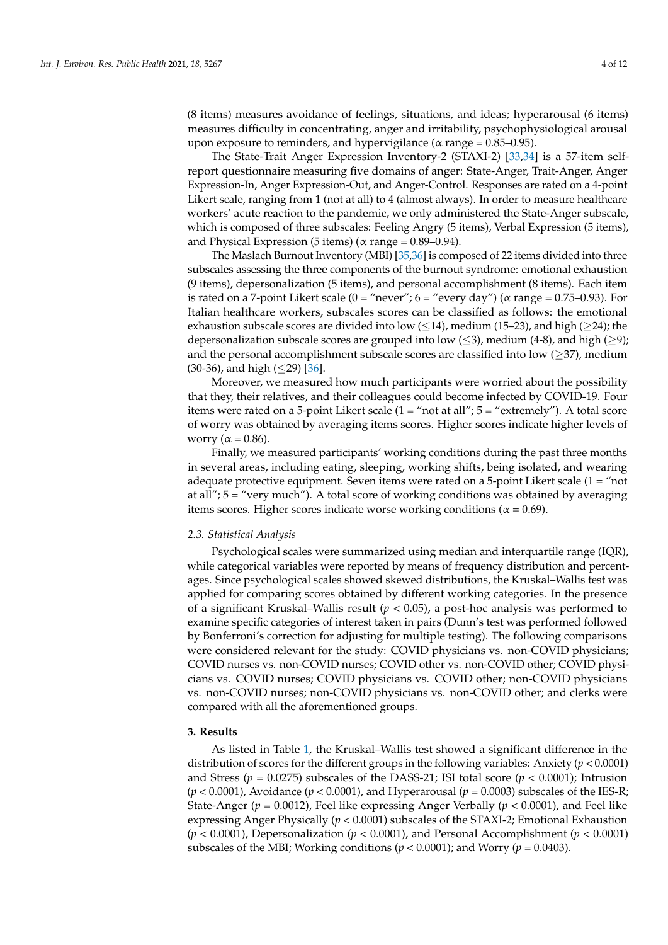(8 items) measures avoidance of feelings, situations, and ideas; hyperarousal (6 items) measures difficulty in concentrating, anger and irritability, psychophysiological arousal upon exposure to reminders, and hypervigilance ( $\alpha$  range = 0.85–0.95).

The State-Trait Anger Expression Inventory-2 (STAXI-2) [\[33](#page-10-19)[,34\]](#page-10-20) is a 57-item selfreport questionnaire measuring five domains of anger: State-Anger, Trait-Anger, Anger Expression-In, Anger Expression-Out, and Anger-Control. Responses are rated on a 4-point Likert scale, ranging from 1 (not at all) to 4 (almost always). In order to measure healthcare workers' acute reaction to the pandemic, we only administered the State-Anger subscale, which is composed of three subscales: Feeling Angry (5 items), Verbal Expression (5 items), and Physical Expression (5 items) ( $\alpha$  range = 0.89–0.94).

The Maslach Burnout Inventory (MBI) [\[35](#page-10-21)[,36\]](#page-11-0) is composed of 22 items divided into three subscales assessing the three components of the burnout syndrome: emotional exhaustion (9 items), depersonalization (5 items), and personal accomplishment (8 items). Each item is rated on a 7-point Likert scale  $(0 = "never"; 6 = "every day") (\alpha range = 0.75{\text -}0.93)$ . For Italian healthcare workers, subscales scores can be classified as follows: the emotional exhaustion subscale scores are divided into low ( $\leq$ 14), medium (15–23), and high ( $\geq$ 24); the depersonalization subscale scores are grouped into low ( $\leq$ 3), medium (4-8), and high ( $\geq$ 9); and the personal accomplishment subscale scores are classified into low  $(\geq 37)$ , medium  $(30-36)$ , and high  $(\leq 29)$  [\[36\]](#page-11-0).

Moreover, we measured how much participants were worried about the possibility that they, their relatives, and their colleagues could become infected by COVID-19. Four items were rated on a 5-point Likert scale  $(1 = "not at all"; 5 = "extremely").$  A total score of worry was obtained by averaging items scores. Higher scores indicate higher levels of worry ( $\alpha$  = 0.86).

Finally, we measured participants' working conditions during the past three months in several areas, including eating, sleeping, working shifts, being isolated, and wearing adequate protective equipment. Seven items were rated on a 5-point Likert scale  $(1 = "not$ at all"; 5 = "very much"). A total score of working conditions was obtained by averaging items scores. Higher scores indicate worse working conditions ( $\alpha = 0.69$ ).

#### *2.3. Statistical Analysis*

Psychological scales were summarized using median and interquartile range (IQR), while categorical variables were reported by means of frequency distribution and percentages. Since psychological scales showed skewed distributions, the Kruskal–Wallis test was applied for comparing scores obtained by different working categories. In the presence of a significant Kruskal–Wallis result (*p* < 0.05), a post-hoc analysis was performed to examine specific categories of interest taken in pairs (Dunn's test was performed followed by Bonferroni's correction for adjusting for multiple testing). The following comparisons were considered relevant for the study: COVID physicians vs. non-COVID physicians; COVID nurses vs. non-COVID nurses; COVID other vs. non-COVID other; COVID physicians vs. COVID nurses; COVID physicians vs. COVID other; non-COVID physicians vs. non-COVID nurses; non-COVID physicians vs. non-COVID other; and clerks were compared with all the aforementioned groups.

## **3. Results**

As listed in Table [1,](#page-4-0) the Kruskal–Wallis test showed a significant difference in the distribution of scores for the different groups in the following variables: Anxiety (*p* < 0.0001) and Stress ( $p = 0.0275$ ) subscales of the DASS-21; ISI total score ( $p < 0.0001$ ); Intrusion (*p* < 0.0001), Avoidance (*p* < 0.0001), and Hyperarousal (*p* = 0.0003) subscales of the IES-R; State-Anger (*p* = 0.0012), Feel like expressing Anger Verbally (*p* < 0.0001), and Feel like expressing Anger Physically (*p* < 0.0001) subscales of the STAXI-2; Emotional Exhaustion (*p* < 0.0001), Depersonalization (*p* < 0.0001), and Personal Accomplishment (*p* < 0.0001) subscales of the MBI; Working conditions (*p* < 0.0001); and Worry (*p* = 0.0403).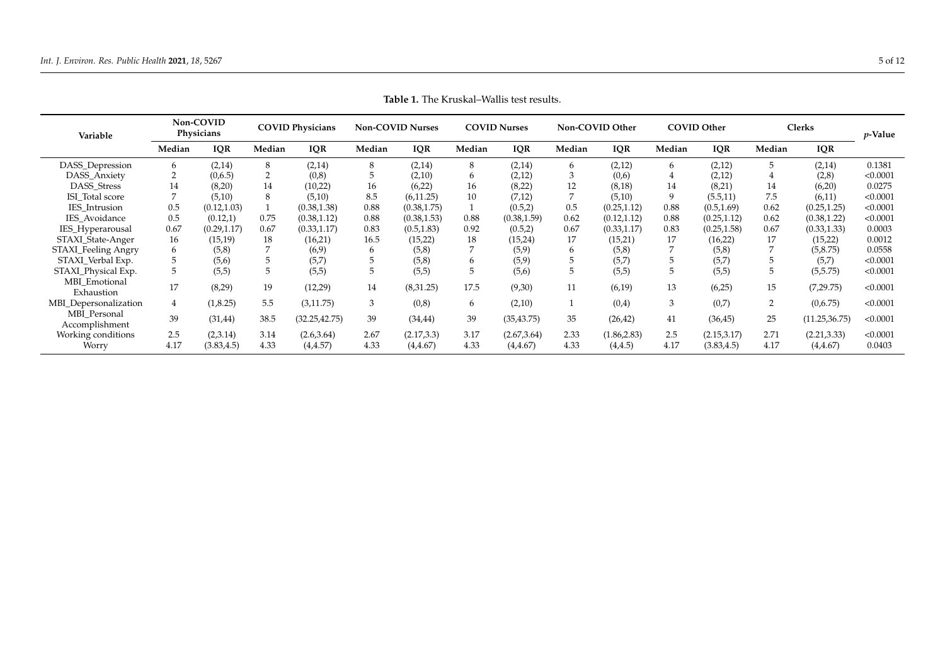<span id="page-4-0"></span>

| Variable                       | Non-COVID<br>Physicians |              | <b>COVID Physicians</b> |                | <b>Non-COVID Nurses</b> |              | <b>COVID Nurses</b> |              | Non-COVID Other |              | <b>COVID Other</b> |              | Clerks |                | <i>v</i> -Value |
|--------------------------------|-------------------------|--------------|-------------------------|----------------|-------------------------|--------------|---------------------|--------------|-----------------|--------------|--------------------|--------------|--------|----------------|-----------------|
|                                | Median                  | <b>IQR</b>   | Median                  | <b>IQR</b>     | Median                  | <b>IQR</b>   | Median              | <b>IQR</b>   | Median          | <b>IQR</b>   | Median             | <b>IQR</b>   | Median | <b>IQR</b>     |                 |
| DASS_Depression                | 6                       | (2,14)       | 8                       | (2,14)         | 8                       | (2,14)       | 8                   | (2,14)       | 6               | (2,12)       | 6                  | (2,12)       | 5      | (2,14)         | 0.1381          |
| DASS_Anxiety                   | 2                       | (0,6.5)      | 2                       | (0,8)          | 5                       | (2,10)       | 6                   | (2,12)       | 3               | (0,6)        | 4                  | (2,12)       |        | (2,8)          | < 0.0001        |
| DASS_Stress                    | 14                      | (8,20)       | 14                      | (10,22)        | 16                      | (6,22)       | 16                  | (8,22)       | 12              | (8,18)       | 14                 | (8,21)       | 14     | (6,20)         | 0.0275          |
| ISI Total score                |                         | (5,10)       | 8                       | (5,10)         | 8.5                     | (6,11.25)    | 10                  | (7,12)       |                 | (5,10)       | 9                  | (5.5, 11)    | 7.5    | (6,11)         | < 0.0001        |
| IES_Intrusion                  | 0.5                     | (0.12, 1.03) |                         | (0.38, 1.38)   | 0.88                    | (0.38, 1.75) |                     | (0.5,2)      | 0.5             | (0.25, 1.12) | 0.88               | (0.5, 1.69)  | 0.62   | (0.25, 1.25)   | < 0.0001        |
| IES Avoidance                  | 0.5                     | (0.12,1)     | 0.75                    | (0.38, 1.12)   | 0.88                    | (0.38, 1.53) | 0.88                | (0.38, 1.59) | 0.62            | (0.12, 1.12) | 0.88               | (0.25, 1.12) | 0.62   | (0.38, 1.22)   | < 0.0001        |
| IES_Hyperarousal               | 0.67                    | (0.29, 1.17) | 0.67                    | (0.33, 1.17)   | 0.83                    | (0.5, 1.83)  | 0.92                | (0.5,2)      | 0.67            | (0.33, 1.17) | 0.83               | (0.25, 1.58) | 0.67   | (0.33, 1.33)   | 0.0003          |
| STAXI_State-Anger              | 16                      | (15,19)      | 18                      | (16,21)        | 16.5                    | (15,22)      | 18                  | (15,24)      | 17              | (15,21)      | 17                 | (16,22)      | 17     | (15,22)        | 0.0012          |
| STAXI_Feeling Angry            | 6                       | (5,8)        |                         | (6,9)          | 6                       | (5,8)        |                     | (5,9)        | 6               | (5,8)        |                    | (5,8)        |        | (5, 8.75)      | 0.0558          |
| STAXI_Verbal Exp.              |                         | (5,6)        |                         | (5,7)          | 5                       | (5,8)        |                     | (5,9)        |                 | (5,7)        | 5                  | (5,7)        |        | (5,7)          | < 0.0001        |
| STAXI_Physical Exp.            | 5                       | (5,5)        | 5                       | (5,5)          | 5                       | (5,5)        |                     | (5,6)        | 5               | (5,5)        | 5                  | (5,5)        |        | (5,5.75)       | < 0.0001        |
| MBI Emotional<br>Exhaustion    | 17                      | (8,29)       | 19                      | (12,29)        | 14                      | (8,31.25)    | 17.5                | (9,30)       | 11              | (6,19)       | 13                 | (6,25)       | 15     | (7,29.75)      | < 0.0001        |
| MBI_Depersonalization          | $\overline{4}$          | (1, 8.25)    | 5.5                     | (3, 11.75)     | 3                       | (0, 8)       | 6                   | (2,10)       |                 | (0,4)        | 3                  | (0,7)        | 2      | (0,6.75)       | < 0.0001        |
| MBI Personal<br>Accomplishment | 39                      | (31, 44)     | 38.5                    | (32.25, 42.75) | 39                      | (34, 44)     | 39                  | (35, 43.75)  | 35              | (26, 42)     | 41                 | (36, 45)     | 25     | (11.25, 36.75) | < 0.0001        |
| Working conditions             | 2.5                     | (2,3.14)     | 3.14                    | (2.6, 3.64)    | 2.67                    | (2.17, 3.3)  | 3.17                | (2.67, 3.64) | 2.33            | (1.86, 2.83) | 2.5                | (2.15,3.17)  | 2.71   | (2.21, 3.33)   | < 0.0001        |
| Worry                          | 4.17                    | (3.83, 4.5)  | 4.33                    | (4.4.57)       | 4.33                    | (4.4.67)     | 4.33                | (4, 4.67)    | 4.33            | (4, 4.5)     | 4.17               | (3.83, 4.5)  | 4.17   | (4, 4.67)      | 0.0403          |

**Table 1.** The Kruskal–Wallis test results.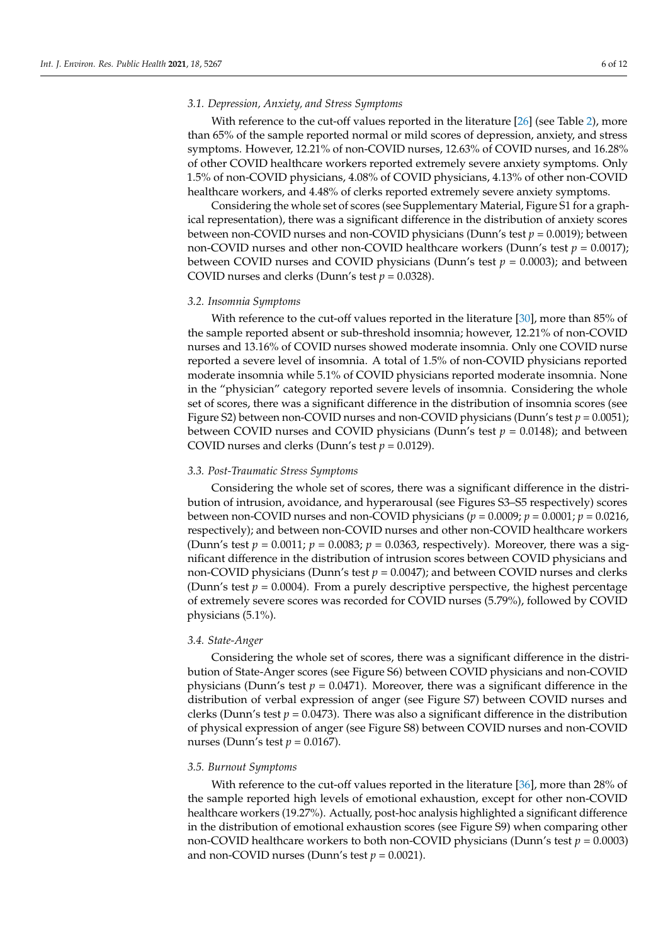# *3.1. Depression, Anxiety, and Stress Symptoms*

With reference to the cut-off values reported in the literature [\[26\]](#page-10-12) (see Table [2\)](#page-6-0), more than 65% of the sample reported normal or mild scores of depression, anxiety, and stress symptoms. However, 12.21% of non-COVID nurses, 12.63% of COVID nurses, and 16.28% of other COVID healthcare workers reported extremely severe anxiety symptoms. Only 1.5% of non-COVID physicians, 4.08% of COVID physicians, 4.13% of other non-COVID healthcare workers, and 4.48% of clerks reported extremely severe anxiety symptoms.

Considering the whole set of scores (see Supplementary Material, Figure S1 for a graphical representation), there was a significant difference in the distribution of anxiety scores between non-COVID nurses and non-COVID physicians (Dunn's test *p* = 0.0019); between non-COVID nurses and other non-COVID healthcare workers (Dunn's test *p* = 0.0017); between COVID nurses and COVID physicians (Dunn's test  $p = 0.0003$ ); and between COVID nurses and clerks (Dunn's test  $p = 0.0328$ ).

#### *3.2. Insomnia Symptoms*

With reference to the cut-off values reported in the literature [\[30\]](#page-10-16), more than 85% of the sample reported absent or sub-threshold insomnia; however, 12.21% of non-COVID nurses and 13.16% of COVID nurses showed moderate insomnia. Only one COVID nurse reported a severe level of insomnia. A total of 1.5% of non-COVID physicians reported moderate insomnia while 5.1% of COVID physicians reported moderate insomnia. None in the "physician" category reported severe levels of insomnia. Considering the whole set of scores, there was a significant difference in the distribution of insomnia scores (see Figure S2) between non-COVID nurses and non-COVID physicians (Dunn's test  $p = 0.0051$ ); between COVID nurses and COVID physicians (Dunn's test  $p = 0.0148$ ); and between COVID nurses and clerks (Dunn's test  $p = 0.0129$ ).

#### *3.3. Post-Traumatic Stress Symptoms*

Considering the whole set of scores, there was a significant difference in the distribution of intrusion, avoidance, and hyperarousal (see Figures S3–S5 respectively) scores between non-COVID nurses and non-COVID physicians ( $p = 0.0009$ ;  $p = 0.0001$ ;  $p = 0.0216$ , respectively); and between non-COVID nurses and other non-COVID healthcare workers (Dunn's test *p* = 0.0011; *p* = 0.0083; *p* = 0.0363, respectively). Moreover, there was a significant difference in the distribution of intrusion scores between COVID physicians and non-COVID physicians (Dunn's test  $p = 0.0047$ ); and between COVID nurses and clerks (Dunn's test  $p = 0.0004$ ). From a purely descriptive perspective, the highest percentage of extremely severe scores was recorded for COVID nurses (5.79%), followed by COVID physicians (5.1%).

# *3.4. State-Anger*

Considering the whole set of scores, there was a significant difference in the distribution of State-Anger scores (see Figure S6) between COVID physicians and non-COVID physicians (Dunn's test  $p = 0.0471$ ). Moreover, there was a significant difference in the distribution of verbal expression of anger (see Figure S7) between COVID nurses and clerks (Dunn's test *p* = 0.0473). There was also a significant difference in the distribution of physical expression of anger (see Figure S8) between COVID nurses and non-COVID nurses (Dunn's test *p* = 0.0167).

#### *3.5. Burnout Symptoms*

With reference to the cut-off values reported in the literature [\[36\]](#page-11-0), more than 28% of the sample reported high levels of emotional exhaustion, except for other non-COVID healthcare workers (19.27%). Actually, post-hoc analysis highlighted a significant difference in the distribution of emotional exhaustion scores (see Figure S9) when comparing other non-COVID healthcare workers to both non-COVID physicians (Dunn's test *p* = 0.0003) and non-COVID nurses (Dunn's test  $p = 0.0021$ ).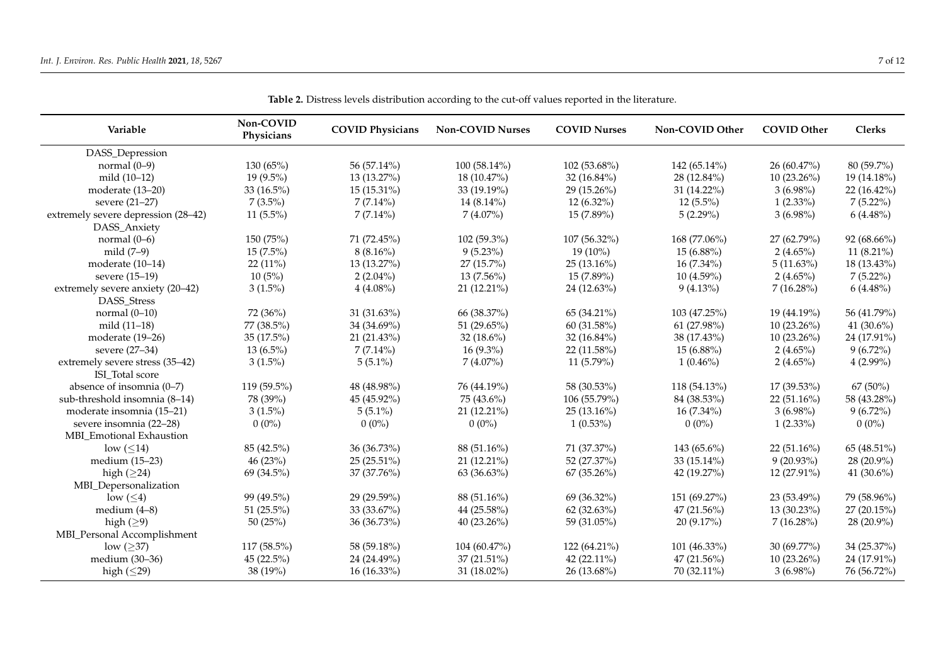<span id="page-6-0"></span>

| Variable                                           | Non-COVID<br>Physicians | <b>COVID Physicians</b> | <b>Non-COVID Nurses</b> | <b>COVID Nurses</b> | Non-COVID Other | <b>COVID Other</b> | <b>Clerks</b> |
|----------------------------------------------------|-------------------------|-------------------------|-------------------------|---------------------|-----------------|--------------------|---------------|
| DASS_Depression                                    |                         |                         |                         |                     |                 |                    |               |
| normal $(0-9)$                                     | 130(65%)                | 56 (57.14%)             | $100(58.14\%)$          | 102 (53.68%)        | 142 $(65.14\%)$ | 26 (60.47%)        | 80 (59.7%)    |
| mild $(10-12)$                                     | $19(9.5\%)$             | 13 (13.27%)             | 18 (10.47%)             | $32(16.84\%)$       | 28 (12.84%)     | $10(23.26\%)$      | 19 (14.18%)   |
| moderate (13-20)                                   | 33 $(16.5\%)$           | 15 (15.31%)             | 33 (19.19%)             | 29 (15.26%)         | $31(14.22\%)$   | $3(6.98\%)$        | $22(16.42\%)$ |
| severe (21–27)                                     | $7(3.5\%)$              | $7(7.14\%)$             | $14(8.14\%)$            | $12(6.32\%)$        | $12(5.5\%)$     | $1(2.33\%)$        | $7(5.22\%)$   |
| extremely severe depression (28–42)                | $11(5.5\%)$             | $7(7.14\%)$             | $7(4.07\%)$             | 15 (7.89%)          | 5(2.29%)        | $3(6.98\%)$        | $6(4.48\%)$   |
| DASS_Anxiety                                       |                         |                         |                         |                     |                 |                    |               |
| normal $(0-6)$                                     | 150 (75%)               | 71 (72.45%)             | $102(59.3\%)$           | 107 (56.32%)        | 168 (77.06%)    | 27 (62.79%)        | 92 (68.66%)   |
| mild $(7-9)$                                       | $15(7.5\%)$             | $8(8.16\%)$             | $9(5.23\%)$             | $19(10\%)$          | $15(6.88\%)$    | $2(4.65\%)$        | 11 $(8.21\%)$ |
| moderate (10-14)                                   | 22 (11%)                | 13 (13.27%)             | 27 (15.7%)              | 25 (13.16%)         | $16(7.34\%)$    | $5(11.63\%)$       | 18 (13.43%)   |
| severe (15-19)                                     | 10(5%)                  | $2(2.04\%)$             | $13(7.56\%)$            | $15(7.89\%)$        | $10(4.59\%)$    | $2(4.65\%)$        | $7(5.22\%)$   |
| extremely severe anxiety (20-42)<br>DASS_Stress    | $3(1.5\%)$              | $4(4.08\%)$             | 21 (12.21%)             | 24 (12.63%)         | $9(4.13\%)$     | 7(16.28%)          | $6(4.48\%)$   |
| normal $(0-10)$                                    | 72 (36%)                | 31 (31.63%)             | 66 (38.37%)             | 65 (34.21%)         | 103 (47.25%)    | 19 (44.19%)        | 56 (41.79%)   |
| mild (11–18)                                       | 77 (38.5%)              | 34 (34.69%)             | 51 $(29.65\%)$          | 60 (31.58%)         | 61 (27.98%)     | $10(23.26\%)$      | 41 $(30.6\%)$ |
| moderate (19–26)                                   | $35(17.5\%)$            | 21 (21.43%)             | $32(18.6\%)$            | $32(16.84\%)$       | 38 (17.43%)     | $10(23.26\%)$      | 24 (17.91%)   |
| severe (27–34)                                     | $13(6.5\%)$             | $7(7.14\%)$             | $16(9.3\%)$             | $22(11.58\%)$       | $15(6.88\%)$    | $2(4.65\%)$        | $9(6.72\%)$   |
| extremely severe stress (35–42)<br>ISI_Total score | $3(1.5\%)$              | $5(5.1\%)$              | $7(4.07\%)$             | $11(5.79\%)$        | $1(0.46\%)$     | $2(4.65\%)$        | $4(2.99\%)$   |
| absence of insomnia (0-7)                          | 119 (59.5%)             | 48 (48.98%)             | 76 (44.19%)             | 58 (30.53%)         | 118 (54.13%)    | 17 (39.53%)        | 67 (50%)      |
| sub-threshold insomnia (8-14)                      | 78 (39%)                | 45 (45.92%)             | 75 (43.6%)              | 106 (55.79%)        | 84 (38.53%)     | 22 (51.16%)        | 58 (43.28%)   |
| moderate insomnia (15-21)                          | $3(1.5\%)$              | $5(5.1\%)$              | 21 (12.21%)             | $25(13.16\%)$       | $16(7.34\%)$    | $3(6.98\%)$        | $9(6.72\%)$   |
| severe insomnia (22-28)                            | $0(0\%)$                | $0(0\%)$                | $0(0\%)$                | $1(0.53\%)$         | $0(0\%)$        | $1(2.33\%)$        | $0(0\%)$      |
| MBI Emotional Exhaustion                           |                         |                         |                         |                     |                 |                    |               |
| low $(\leq 14)$                                    | 85 (42.5%)              | 36 (36.73%)             | 88 (51.16%)             | 71 (37.37%)         | 143 $(65.6\%)$  | 22(51.16%)         | 65 (48.51%)   |
| medium $(15-23)$                                   | 46(23%)                 | 25 (25.51%)             | $21(12.21\%)$           | 52 (27.37%)         | 33 $(15.14\%)$  | $9(20.93\%)$       | 28 (20.9%)    |
| high $($ >24)                                      | 69 (34.5%)              | 37 (37.76%)             | 63 (36.63%)             | 67 (35.26%)         | 42 (19.27%)     | 12 (27.91%)        | 41 $(30.6\%)$ |
| MBI_Depersonalization                              |                         |                         |                         |                     |                 |                    |               |
| $low \left( \leq 4 \right)$                        | 99 (49.5%)              | 29 (29.59%)             | 88 (51.16%)             | 69 (36.32%)         | 151 (69.27%)    | 23 (53.49%)        | 79 (58.96%)   |
| medium $(4-8)$                                     | 51 $(25.5\%)$           | 33 (33.67%)             | 44 (25.58%)             | 62(32.63%)          | $47(21.56\%)$   | $13(30.23\%)$      | 27(20.15%)    |
| high $(\geq)$                                      | 50(25%)                 | 36 (36.73%)             | $40(23.26\%)$           | 59 (31.05%)         | 20(9.17%)       | $7(16.28\%)$       | 28 (20.9%)    |
| MBI_Personal Accomplishment                        |                         |                         |                         |                     |                 |                    |               |
| low $(\geq)37)$                                    | 117 (58.5%)             | 58 (59.18%)             | 104 (60.47%)            | 122 (64.21%)        | 101 (46.33%)    | $30(69.77\%)$      | 34 (25.37%)   |
| medium (30-36)                                     | 45 (22.5%)              | 24 (24.49%)             | 37 (21.51%)             | 42 (22.11%)         | 47 (21.56%)     | 10 (23.26%)        | 24 (17.91%)   |
| high $(\leq 29)$                                   | 38 (19%)                | 16 (16.33%)             | 31 (18.02%)             | 26 (13.68%)         | 70 (32.11%)     | $3(6.98\%)$        | 76 (56.72%)   |

**Table 2.** Distress levels distribution according to the cut-off values reported in the literature.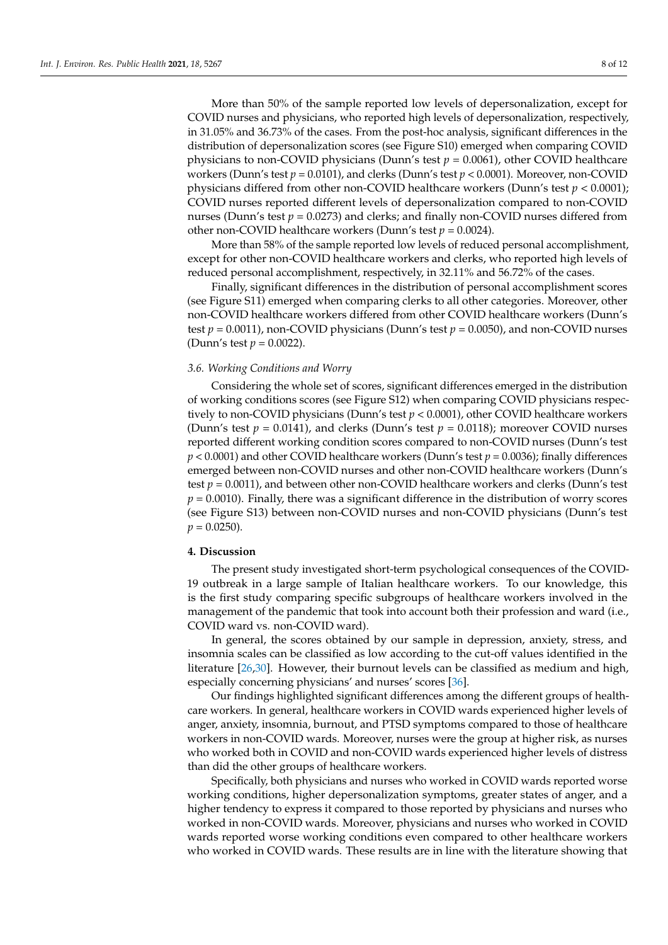More than 50% of the sample reported low levels of depersonalization, except for COVID nurses and physicians, who reported high levels of depersonalization, respectively, in 31.05% and 36.73% of the cases. From the post-hoc analysis, significant differences in the distribution of depersonalization scores (see Figure S10) emerged when comparing COVID physicians to non-COVID physicians (Dunn's test  $p = 0.0061$ ), other COVID healthcare workers (Dunn's test *p* = 0.0101), and clerks (Dunn's test *p* < 0.0001). Moreover, non-COVID physicians differed from other non-COVID healthcare workers (Dunn's test *p* < 0.0001); COVID nurses reported different levels of depersonalization compared to non-COVID nurses (Dunn's test  $p = 0.0273$ ) and clerks; and finally non-COVID nurses differed from other non-COVID healthcare workers (Dunn's test *p* = 0.0024).

More than 58% of the sample reported low levels of reduced personal accomplishment, except for other non-COVID healthcare workers and clerks, who reported high levels of reduced personal accomplishment, respectively, in 32.11% and 56.72% of the cases.

Finally, significant differences in the distribution of personal accomplishment scores (see Figure S11) emerged when comparing clerks to all other categories. Moreover, other non-COVID healthcare workers differed from other COVID healthcare workers (Dunn's test *p* = 0.0011), non-COVID physicians (Dunn's test *p* = 0.0050), and non-COVID nurses (Dunn's test *p* = 0.0022).

#### *3.6. Working Conditions and Worry*

Considering the whole set of scores, significant differences emerged in the distribution of working conditions scores (see Figure S12) when comparing COVID physicians respectively to non-COVID physicians (Dunn's test *p* < 0.0001), other COVID healthcare workers (Dunn's test  $p = 0.0141$ ), and clerks (Dunn's test  $p = 0.0118$ ); moreover COVID nurses reported different working condition scores compared to non-COVID nurses (Dunn's test *p* < 0.0001) and other COVID healthcare workers (Dunn's test *p* = 0.0036); finally differences emerged between non-COVID nurses and other non-COVID healthcare workers (Dunn's test  $p = 0.0011$ ), and between other non-COVID healthcare workers and clerks (Dunn's test  $p = 0.0010$ ). Finally, there was a significant difference in the distribution of worry scores (see Figure S13) between non-COVID nurses and non-COVID physicians (Dunn's test  $p = 0.0250$ .

# **4. Discussion**

The present study investigated short-term psychological consequences of the COVID-19 outbreak in a large sample of Italian healthcare workers. To our knowledge, this is the first study comparing specific subgroups of healthcare workers involved in the management of the pandemic that took into account both their profession and ward (i.e., COVID ward vs. non-COVID ward).

In general, the scores obtained by our sample in depression, anxiety, stress, and insomnia scales can be classified as low according to the cut-off values identified in the literature [\[26](#page-10-12)[,30\]](#page-10-16). However, their burnout levels can be classified as medium and high, especially concerning physicians' and nurses' scores [\[36\]](#page-11-0).

Our findings highlighted significant differences among the different groups of healthcare workers. In general, healthcare workers in COVID wards experienced higher levels of anger, anxiety, insomnia, burnout, and PTSD symptoms compared to those of healthcare workers in non-COVID wards. Moreover, nurses were the group at higher risk, as nurses who worked both in COVID and non-COVID wards experienced higher levels of distress than did the other groups of healthcare workers.

Specifically, both physicians and nurses who worked in COVID wards reported worse working conditions, higher depersonalization symptoms, greater states of anger, and a higher tendency to express it compared to those reported by physicians and nurses who worked in non-COVID wards. Moreover, physicians and nurses who worked in COVID wards reported worse working conditions even compared to other healthcare workers who worked in COVID wards. These results are in line with the literature showing that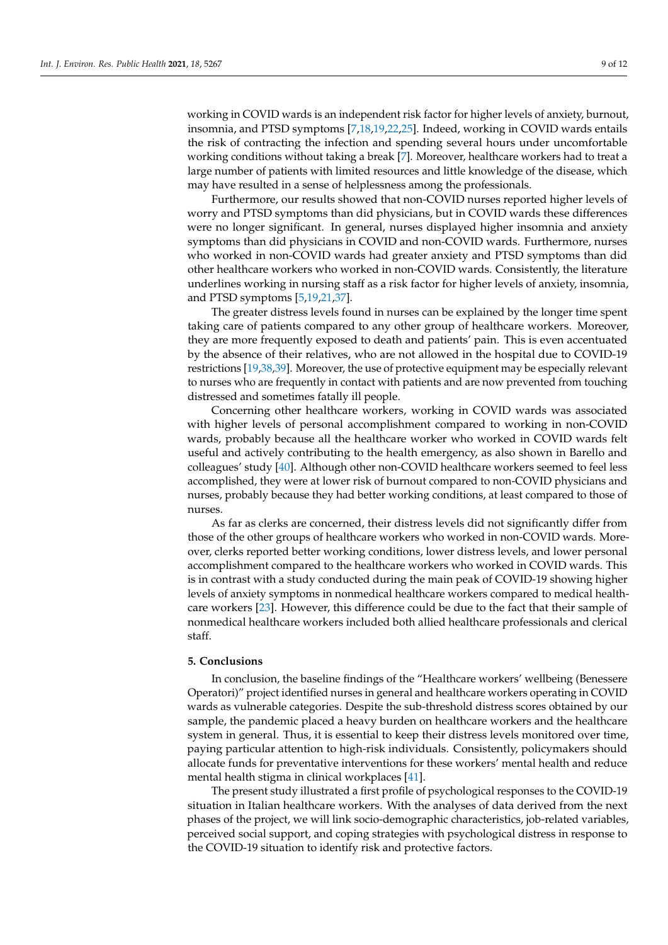working in COVID wards is an independent risk factor for higher levels of anxiety, burnout, insomnia, and PTSD symptoms [\[7](#page-9-6)[,18](#page-10-22)[,19](#page-10-23)[,22](#page-10-7)[,25\]](#page-10-11). Indeed, working in COVID wards entails the risk of contracting the infection and spending several hours under uncomfortable working conditions without taking a break [\[7\]](#page-9-6). Moreover, healthcare workers had to treat a large number of patients with limited resources and little knowledge of the disease, which may have resulted in a sense of helplessness among the professionals.

Furthermore, our results showed that non-COVID nurses reported higher levels of worry and PTSD symptoms than did physicians, but in COVID wards these differences were no longer significant. In general, nurses displayed higher insomnia and anxiety symptoms than did physicians in COVID and non-COVID wards. Furthermore, nurses who worked in non-COVID wards had greater anxiety and PTSD symptoms than did other healthcare workers who worked in non-COVID wards. Consistently, the literature underlines working in nursing staff as a risk factor for higher levels of anxiety, insomnia, and PTSD symptoms [\[5,](#page-9-3)[19,](#page-10-23)[21,](#page-10-24)[37\]](#page-11-1).

The greater distress levels found in nurses can be explained by the longer time spent taking care of patients compared to any other group of healthcare workers. Moreover, they are more frequently exposed to death and patients' pain. This is even accentuated by the absence of their relatives, who are not allowed in the hospital due to COVID-19 restrictions [\[19](#page-10-23)[,38,](#page-11-2)[39\]](#page-11-3). Moreover, the use of protective equipment may be especially relevant to nurses who are frequently in contact with patients and are now prevented from touching distressed and sometimes fatally ill people.

Concerning other healthcare workers, working in COVID wards was associated with higher levels of personal accomplishment compared to working in non-COVID wards, probably because all the healthcare worker who worked in COVID wards felt useful and actively contributing to the health emergency, as also shown in Barello and colleagues' study [\[40\]](#page-11-4). Although other non-COVID healthcare workers seemed to feel less accomplished, they were at lower risk of burnout compared to non-COVID physicians and nurses, probably because they had better working conditions, at least compared to those of nurses.

As far as clerks are concerned, their distress levels did not significantly differ from those of the other groups of healthcare workers who worked in non-COVID wards. Moreover, clerks reported better working conditions, lower distress levels, and lower personal accomplishment compared to the healthcare workers who worked in COVID wards. This is in contrast with a study conducted during the main peak of COVID-19 showing higher levels of anxiety symptoms in nonmedical healthcare workers compared to medical healthcare workers [\[23\]](#page-10-9). However, this difference could be due to the fact that their sample of nonmedical healthcare workers included both allied healthcare professionals and clerical staff.

# **5. Conclusions**

In conclusion, the baseline findings of the "Healthcare workers' wellbeing (Benessere Operatori)" project identified nurses in general and healthcare workers operating in COVID wards as vulnerable categories. Despite the sub-threshold distress scores obtained by our sample, the pandemic placed a heavy burden on healthcare workers and the healthcare system in general. Thus, it is essential to keep their distress levels monitored over time, paying particular attention to high-risk individuals. Consistently, policymakers should allocate funds for preventative interventions for these workers' mental health and reduce mental health stigma in clinical workplaces [\[41\]](#page-11-5).

The present study illustrated a first profile of psychological responses to the COVID-19 situation in Italian healthcare workers. With the analyses of data derived from the next phases of the project, we will link socio-demographic characteristics, job-related variables, perceived social support, and coping strategies with psychological distress in response to the COVID-19 situation to identify risk and protective factors.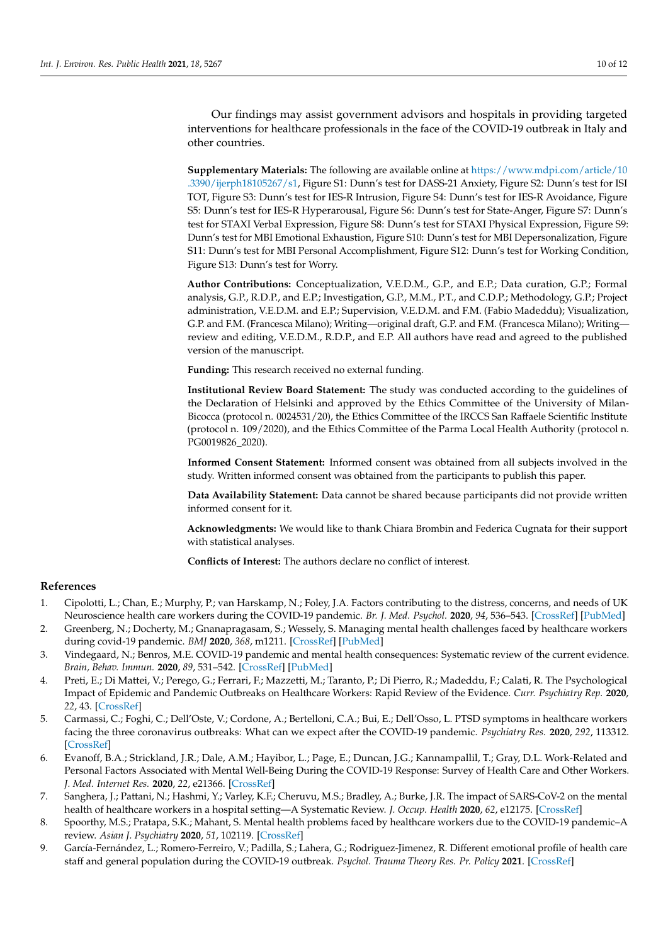Our findings may assist government advisors and hospitals in providing targeted interventions for healthcare professionals in the face of the COVID-19 outbreak in Italy and other countries.

**Supplementary Materials:** The following are available online at [https://www.mdpi.com/article/10](https://www.mdpi.com/article/10.3390/ijerph18105267/s1) [.3390/ijerph18105267/s1,](https://www.mdpi.com/article/10.3390/ijerph18105267/s1) Figure S1: Dunn's test for DASS-21 Anxiety, Figure S2: Dunn's test for ISI TOT, Figure S3: Dunn's test for IES-R Intrusion, Figure S4: Dunn's test for IES-R Avoidance, Figure S5: Dunn's test for IES-R Hyperarousal, Figure S6: Dunn's test for State-Anger, Figure S7: Dunn's test for STAXI Verbal Expression, Figure S8: Dunn's test for STAXI Physical Expression, Figure S9: Dunn's test for MBI Emotional Exhaustion, Figure S10: Dunn's test for MBI Depersonalization, Figure S11: Dunn's test for MBI Personal Accomplishment, Figure S12: Dunn's test for Working Condition, Figure S13: Dunn's test for Worry.

**Author Contributions:** Conceptualization, V.E.D.M., G.P., and E.P.; Data curation, G.P.; Formal analysis, G.P., R.D.P., and E.P.; Investigation, G.P., M.M., P.T., and C.D.P.; Methodology, G.P.; Project administration, V.E.D.M. and E.P.; Supervision, V.E.D.M. and F.M. (Fabio Madeddu); Visualization, G.P. and F.M. (Francesca Milano); Writing—original draft, G.P. and F.M. (Francesca Milano); Writing review and editing, V.E.D.M., R.D.P., and E.P. All authors have read and agreed to the published version of the manuscript.

**Funding:** This research received no external funding.

**Institutional Review Board Statement:** The study was conducted according to the guidelines of the Declaration of Helsinki and approved by the Ethics Committee of the University of Milan-Bicocca (protocol n. 0024531/20), the Ethics Committee of the IRCCS San Raffaele Scientific Institute (protocol n. 109/2020), and the Ethics Committee of the Parma Local Health Authority (protocol n. PG0019826\_2020).

**Informed Consent Statement:** Informed consent was obtained from all subjects involved in the study. Written informed consent was obtained from the participants to publish this paper.

**Data Availability Statement:** Data cannot be shared because participants did not provide written informed consent for it.

**Acknowledgments:** We would like to thank Chiara Brombin and Federica Cugnata for their support with statistical analyses.

**Conflicts of Interest:** The authors declare no conflict of interest.

# **References**

- <span id="page-9-0"></span>1. Cipolotti, L.; Chan, E.; Murphy, P.; van Harskamp, N.; Foley, J.A. Factors contributing to the distress, concerns, and needs of UK Neuroscience health care workers during the COVID-19 pandemic. *Br. J. Med. Psychol.* **2020**, *94*, 536–543. [\[CrossRef\]](http://doi.org/10.1111/papt.12298) [\[PubMed\]](http://www.ncbi.nlm.nih.gov/pubmed/32672411)
- <span id="page-9-5"></span>2. Greenberg, N.; Docherty, M.; Gnanapragasam, S.; Wessely, S. Managing mental health challenges faced by healthcare workers during covid-19 pandemic. *BMJ* **2020**, *368*, m1211. [\[CrossRef\]](http://doi.org/10.1136/bmj.m1211) [\[PubMed\]](http://www.ncbi.nlm.nih.gov/pubmed/32217624)
- <span id="page-9-1"></span>3. Vindegaard, N.; Benros, M.E. COVID-19 pandemic and mental health consequences: Systematic review of the current evidence. *Brain, Behav. Immun.* **2020**, *89*, 531–542. [\[CrossRef\]](http://doi.org/10.1016/j.bbi.2020.05.048) [\[PubMed\]](http://www.ncbi.nlm.nih.gov/pubmed/32485289)
- <span id="page-9-2"></span>4. Preti, E.; Di Mattei, V.; Perego, G.; Ferrari, F.; Mazzetti, M.; Taranto, P.; Di Pierro, R.; Madeddu, F.; Calati, R. The Psychological Impact of Epidemic and Pandemic Outbreaks on Healthcare Workers: Rapid Review of the Evidence. *Curr. Psychiatry Rep.* **2020**, *22*, 43. [\[CrossRef\]](http://doi.org/10.1007/s11920-020-01166-z)
- <span id="page-9-3"></span>5. Carmassi, C.; Foghi, C.; Dell'Oste, V.; Cordone, A.; Bertelloni, C.A.; Bui, E.; Dell'Osso, L. PTSD symptoms in healthcare workers facing the three coronavirus outbreaks: What can we expect after the COVID-19 pandemic. *Psychiatry Res.* **2020**, *292*, 113312. [\[CrossRef\]](http://doi.org/10.1016/j.psychres.2020.113312)
- <span id="page-9-8"></span>6. Evanoff, B.A.; Strickland, J.R.; Dale, A.M.; Hayibor, L.; Page, E.; Duncan, J.G.; Kannampallil, T.; Gray, D.L. Work-Related and Personal Factors Associated with Mental Well-Being During the COVID-19 Response: Survey of Health Care and Other Workers. *J. Med. Internet Res.* **2020**, *22*, e21366. [\[CrossRef\]](http://doi.org/10.2196/21366)
- <span id="page-9-6"></span>7. Sanghera, J.; Pattani, N.; Hashmi, Y.; Varley, K.F.; Cheruvu, M.S.; Bradley, A.; Burke, J.R. The impact of SARS-CoV-2 on the mental health of healthcare workers in a hospital setting—A Systematic Review. *J. Occup. Health* **2020**, *62*, e12175. [\[CrossRef\]](http://doi.org/10.1002/1348-9585.12175)
- <span id="page-9-4"></span>8. Spoorthy, M.S.; Pratapa, S.K.; Mahant, S. Mental health problems faced by healthcare workers due to the COVID-19 pandemic–A review. *Asian J. Psychiatry* **2020**, *51*, 102119. [\[CrossRef\]](http://doi.org/10.1016/j.ajp.2020.102119)
- <span id="page-9-7"></span>9. García-Fernández, L.; Romero-Ferreiro, V.; Padilla, S.; Lahera, G.; Rodriguez-Jimenez, R. Different emotional profile of health care staff and general population during the COVID-19 outbreak. *Psychol. Trauma Theory Res. Pr. Policy* **2021**. [\[CrossRef\]](http://doi.org/10.1037/tra0001024)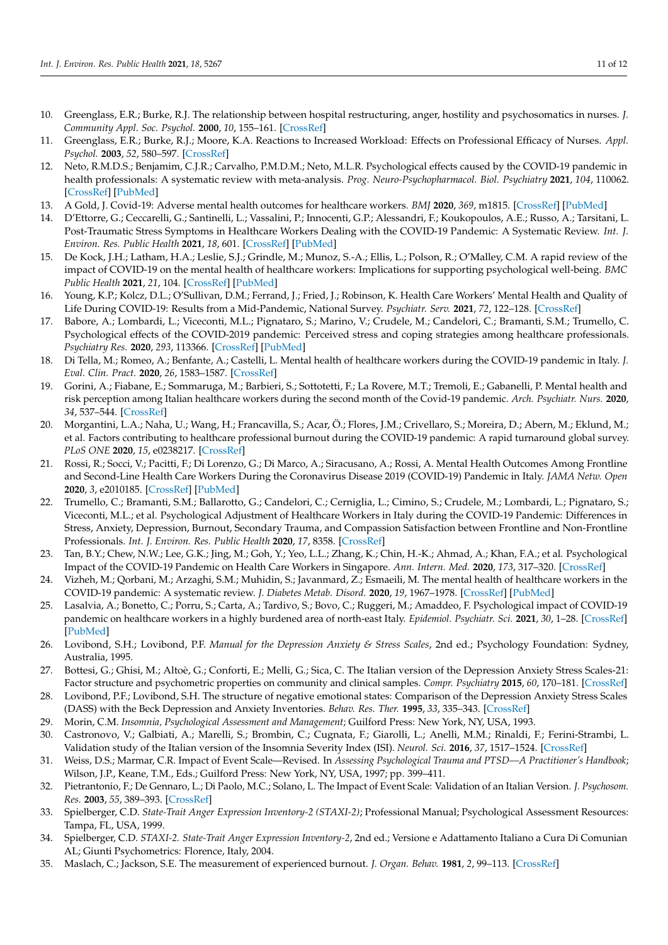- <span id="page-10-0"></span>10. Greenglass, E.R.; Burke, R.J. The relationship between hospital restructuring, anger, hostility and psychosomatics in nurses. *J. Community Appl. Soc. Psychol.* **2000**, *10*, 155–161. [\[CrossRef\]](http://doi.org/10.1002/(SICI)1099-1298(200003/04)10:2<155::AID-CASP558>3.0.CO;2-Q)
- <span id="page-10-1"></span>11. Greenglass, E.R.; Burke, R.J.; Moore, K.A. Reactions to Increased Workload: Effects on Professional Efficacy of Nurses. *Appl. Psychol.* **2003**, *52*, 580–597. [\[CrossRef\]](http://doi.org/10.1111/1464-0597.00152)
- <span id="page-10-2"></span>12. Neto, R.M.D.S.; Benjamim, C.J.R.; Carvalho, P.M.D.M.; Neto, M.L.R. Psychological effects caused by the COVID-19 pandemic in health professionals: A systematic review with meta-analysis. *Prog. Neuro-Psychopharmacol. Biol. Psychiatry* **2021**, *104*, 110062. [\[CrossRef\]](http://doi.org/10.1016/j.pnpbp.2020.110062) [\[PubMed\]](http://www.ncbi.nlm.nih.gov/pubmed/32771337)
- <span id="page-10-3"></span>13. A Gold, J. Covid-19: Adverse mental health outcomes for healthcare workers. *BMJ* **2020**, *369*, m1815. [\[CrossRef\]](http://doi.org/10.1136/bmj.m1815) [\[PubMed\]](http://www.ncbi.nlm.nih.gov/pubmed/32371465)
- <span id="page-10-4"></span>14. D'Ettorre, G.; Ceccarelli, G.; Santinelli, L.; Vassalini, P.; Innocenti, G.P.; Alessandri, F.; Koukopoulos, A.E.; Russo, A.; Tarsitani, L. Post-Traumatic Stress Symptoms in Healthcare Workers Dealing with the COVID-19 Pandemic: A Systematic Review. *Int. J. Environ. Res. Public Health* **2021**, *18*, 601. [\[CrossRef\]](http://doi.org/10.3390/ijerph18020601) [\[PubMed\]](http://www.ncbi.nlm.nih.gov/pubmed/33445712)
- <span id="page-10-8"></span>15. De Kock, J.H.; Latham, H.A.; Leslie, S.J.; Grindle, M.; Munoz, S.-A.; Ellis, L.; Polson, R.; O'Malley, C.M. A rapid review of the impact of COVID-19 on the mental health of healthcare workers: Implications for supporting psychological well-being. *BMC Public Health* **2021**, *21*, 104. [\[CrossRef\]](http://doi.org/10.1186/s12889-020-10070-3) [\[PubMed\]](http://www.ncbi.nlm.nih.gov/pubmed/33422039)
- <span id="page-10-5"></span>16. Young, K.P.; Kolcz, D.L.; O'Sullivan, D.M.; Ferrand, J.; Fried, J.; Robinson, K. Health Care Workers' Mental Health and Quality of Life During COVID-19: Results from a Mid-Pandemic, National Survey. *Psychiatr. Serv.* **2021**, *72*, 122–128. [\[CrossRef\]](http://doi.org/10.1176/appi.ps.202000424)
- <span id="page-10-6"></span>17. Babore, A.; Lombardi, L.; Viceconti, M.L.; Pignataro, S.; Marino, V.; Crudele, M.; Candelori, C.; Bramanti, S.M.; Trumello, C. Psychological effects of the COVID-2019 pandemic: Perceived stress and coping strategies among healthcare professionals. *Psychiatry Res.* **2020**, *293*, 113366. [\[CrossRef\]](http://doi.org/10.1016/j.psychres.2020.113366) [\[PubMed\]](http://www.ncbi.nlm.nih.gov/pubmed/32798932)
- <span id="page-10-22"></span>18. Di Tella, M.; Romeo, A.; Benfante, A.; Castelli, L. Mental health of healthcare workers during the COVID-19 pandemic in Italy. *J. Eval. Clin. Pract.* **2020**, *26*, 1583–1587. [\[CrossRef\]](http://doi.org/10.1111/jep.13444)
- <span id="page-10-23"></span>19. Gorini, A.; Fiabane, E.; Sommaruga, M.; Barbieri, S.; Sottotetti, F.; La Rovere, M.T.; Tremoli, E.; Gabanelli, P. Mental health and risk perception among Italian healthcare workers during the second month of the Covid-19 pandemic. *Arch. Psychiatr. Nurs.* **2020**, *34*, 537–544. [\[CrossRef\]](http://doi.org/10.1016/j.apnu.2020.10.007)
- 20. Morgantini, L.A.; Naha, U.; Wang, H.; Francavilla, S.; Acar, Ö.; Flores, J.M.; Crivellaro, S.; Moreira, D.; Abern, M.; Eklund, M.; et al. Factors contributing to healthcare professional burnout during the COVID-19 pandemic: A rapid turnaround global survey. *PLoS ONE* **2020**, *15*, e0238217. [\[CrossRef\]](http://doi.org/10.1371/journal.pone.0238217)
- <span id="page-10-24"></span>21. Rossi, R.; Socci, V.; Pacitti, F.; Di Lorenzo, G.; Di Marco, A.; Siracusano, A.; Rossi, A. Mental Health Outcomes Among Frontline and Second-Line Health Care Workers During the Coronavirus Disease 2019 (COVID-19) Pandemic in Italy. *JAMA Netw. Open* **2020**, *3*, e2010185. [\[CrossRef\]](http://doi.org/10.1001/jamanetworkopen.2020.10185) [\[PubMed\]](http://www.ncbi.nlm.nih.gov/pubmed/32463467)
- <span id="page-10-7"></span>22. Trumello, C.; Bramanti, S.M.; Ballarotto, G.; Candelori, C.; Cerniglia, L.; Cimino, S.; Crudele, M.; Lombardi, L.; Pignataro, S.; Viceconti, M.L.; et al. Psychological Adjustment of Healthcare Workers in Italy during the COVID-19 Pandemic: Differences in Stress, Anxiety, Depression, Burnout, Secondary Trauma, and Compassion Satisfaction between Frontline and Non-Frontline Professionals. *Int. J. Environ. Res. Public Health* **2020**, *17*, 8358. [\[CrossRef\]](http://doi.org/10.3390/ijerph17228358)
- <span id="page-10-9"></span>23. Tan, B.Y.; Chew, N.W.; Lee, G.K.; Jing, M.; Goh, Y.; Yeo, L.L.; Zhang, K.; Chin, H.-K.; Ahmad, A.; Khan, F.A.; et al. Psychological Impact of the COVID-19 Pandemic on Health Care Workers in Singapore. *Ann. Intern. Med.* **2020**, *173*, 317–320. [\[CrossRef\]](http://doi.org/10.7326/M20-1083)
- <span id="page-10-10"></span>24. Vizheh, M.; Qorbani, M.; Arzaghi, S.M.; Muhidin, S.; Javanmard, Z.; Esmaeili, M. The mental health of healthcare workers in the COVID-19 pandemic: A systematic review. *J. Diabetes Metab. Disord.* **2020**, *19*, 1967–1978. [\[CrossRef\]](http://doi.org/10.1007/s40200-020-00643-9) [\[PubMed\]](http://www.ncbi.nlm.nih.gov/pubmed/33134211)
- <span id="page-10-11"></span>25. Lasalvia, A.; Bonetto, C.; Porru, S.; Carta, A.; Tardivo, S.; Bovo, C.; Ruggeri, M.; Amaddeo, F. Psychological impact of COVID-19 pandemic on healthcare workers in a highly burdened area of north-east Italy. *Epidemiol. Psychiatr. Sci.* **2021**, *30*, 1–28. [\[CrossRef\]](http://doi.org/10.1017/S2045796020001158) [\[PubMed\]](http://www.ncbi.nlm.nih.gov/pubmed/33331255)
- <span id="page-10-12"></span>26. Lovibond, S.H.; Lovibond, P.F. *Manual for the Depression Anxiety & Stress Scales*, 2nd ed.; Psychology Foundation: Sydney, Australia, 1995.
- <span id="page-10-13"></span>27. Bottesi, G.; Ghisi, M.; Altoè, G.; Conforti, E.; Melli, G.; Sica, C. The Italian version of the Depression Anxiety Stress Scales-21: Factor structure and psychometric properties on community and clinical samples. *Compr. Psychiatry* **2015**, *60*, 170–181. [\[CrossRef\]](http://doi.org/10.1016/j.comppsych.2015.04.005)
- <span id="page-10-14"></span>28. Lovibond, P.F.; Lovibond, S.H. The structure of negative emotional states: Comparison of the Depression Anxiety Stress Scales (DASS) with the Beck Depression and Anxiety Inventories. *Behav. Res. Ther.* **1995**, *33*, 335–343. [\[CrossRef\]](http://doi.org/10.1016/0005-7967(94)00075-U)
- <span id="page-10-15"></span>29. Morin, C.M. *Insomnia, Psychological Assessment and Management*; Guilford Press: New York, NY, USA, 1993.
- <span id="page-10-16"></span>30. Castronovo, V.; Galbiati, A.; Marelli, S.; Brombin, C.; Cugnata, F.; Giarolli, L.; Anelli, M.M.; Rinaldi, F.; Ferini-Strambi, L. Validation study of the Italian version of the Insomnia Severity Index (ISI). *Neurol. Sci.* **2016**, *37*, 1517–1524. [\[CrossRef\]](http://doi.org/10.1007/s10072-016-2620-z)
- <span id="page-10-17"></span>31. Weiss, D.S.; Marmar, C.R. Impact of Event Scale—Revised. In *Assessing Psychological Trauma and PTSD—A Practitioner's Handbook*; Wilson, J.P., Keane, T.M., Eds.; Guilford Press: New York, NY, USA, 1997; pp. 399–411.
- <span id="page-10-18"></span>32. Pietrantonio, F.; De Gennaro, L.; Di Paolo, M.C.; Solano, L. The Impact of Event Scale: Validation of an Italian Version. *J. Psychosom. Res.* **2003**, *55*, 389–393. [\[CrossRef\]](http://doi.org/10.1016/S0022-3999(02)00638-4)
- <span id="page-10-19"></span>33. Spielberger, C.D. *State-Trait Anger Expression Inventory-2 (STAXI-2)*; Professional Manual; Psychological Assessment Resources: Tampa, FL, USA, 1999.
- <span id="page-10-20"></span>34. Spielberger, C.D. *STAXI-2. State-Trait Anger Expression Inventory-2*, 2nd ed.; Versione e Adattamento Italiano a Cura Di Comunian AL; Giunti Psychometrics: Florence, Italy, 2004.
- <span id="page-10-21"></span>35. Maslach, C.; Jackson, S.E. The measurement of experienced burnout. *J. Organ. Behav.* **1981**, *2*, 99–113. [\[CrossRef\]](http://doi.org/10.1002/job.4030020205)